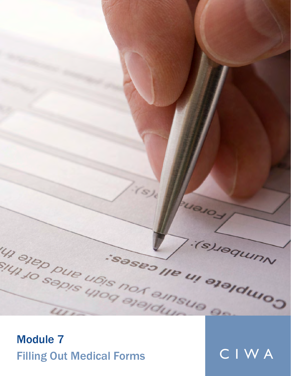

Module 7 Filling Out Medical Forms CIWA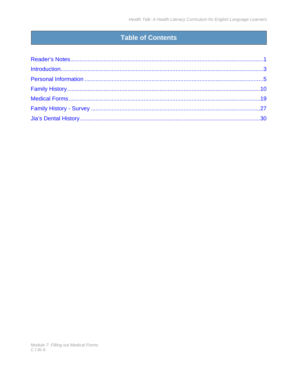## Table of Contents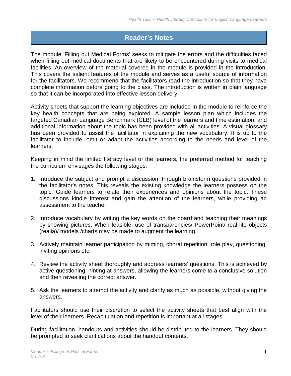### <span id="page-2-0"></span>**Reader's Notes**

The module 'Filling out Medical Forms' seeks to mitigate the errors and the difficulties faced when filling out medical documents that are likely to be encountered during visits to medical facilities. An overview of the material covered in the module is provided in the introduction. This covers the salient features of the module and serves as a useful source of information for the facilitators. We recommend that the facilitators read the introduction so that they have complete information before going to the class. The introduction is written in plain language so that it can be incorporated into effective lesson delivery.

Activity sheets that support the learning objectives are included in the module to reinforce the key health concepts that are being explored. A sample lesson plan which includes the targeted Canadian Language Benchmark (CLB) level of the learners and time estimation; and additional information about the topic has been provided with all activities. A visual glossary has been provided to assist the facilitator in explaining the new vocabulary. It is up to the facilitator to include, omit or adapt the activities according to the needs and level of the learners.

Keeping in mind the limited literacy level of the learners, the preferred method for teaching the curriculum envisages the following stages:

- 1. Introduce the subject and prompt a discussion, through brainstorm questions provided in the facilitator's notes. This reveals the existing knowledge the learners possess on the topic. Guide learners to relate their experiences and opinions about the topic. These discussions kindle interest and gain the attention of the learners, while providing an assessment to the teacher.
- 2. Introduce vocabulary by writing the key words on the board and teaching their meanings by showing pictures. When feasible, use of transparencies/ PowerPoint/ real life objects (realia)/ models /charts may be made to augment the learning.
- 3. Actively maintain learner participation by miming, choral repetition, role play, questioning, inviting opinions etc.
- 4. Review the activity sheet thoroughly and address learners' questions. This is achieved by active questioning, hinting at answers, allowing the learners come to a conclusive solution and then revealing the correct answer.
- 5. Ask the learners to attempt the activity and clarify as much as possible, without giving the answers.

Facilitators should use their discretion to select the activity sheets that best align with the level of their learners. Recapitulation and repetition is important at all stages.

During facilitation, handouts and activities should be distributed to the learners. They should be prompted to seek clarifications about the handout contents.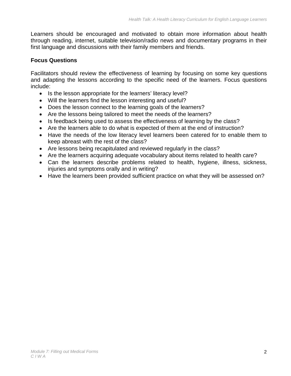Learners should be encouraged and motivated to obtain more information about health through reading, internet, suitable television/radio news and documentary programs in their first language and discussions with their family members and friends.

#### **Focus Questions**

Facilitators should review the effectiveness of learning by focusing on some key questions and adapting the lessons according to the specific need of the learners. Focus questions include:

- Is the lesson appropriate for the learners' literacy level?
- Will the learners find the lesson interesting and useful?
- Does the lesson connect to the learning goals of the learners?
- Are the lessons being tailored to meet the needs of the learners?
- Is feedback being used to assess the effectiveness of learning by the class?
- Are the learners able to do what is expected of them at the end of instruction?
- Have the needs of the low literacy level learners been catered for to enable them to keep abreast with the rest of the class?
- Are lessons being recapitulated and reviewed regularly in the class?
- Are the learners acquiring adequate vocabulary about items related to health care?
- Can the learners describe problems related to health, hygiene, illness, sickness, injuries and symptoms orally and in writing?
- Have the learners been provided sufficient practice on what they will be assessed on?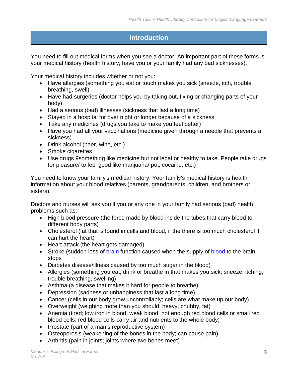### <span id="page-4-0"></span>**Introduction**

You need to fill out medical forms when you see a doctor. An important part of these forms is your medical history (health history; have you or your family had any bad sicknesses).

Your medical history includes whether or not you:

- Have allergies (something you eat or touch makes you sick (sneeze, itch, trouble breathing, swell)
- Have had surgeries (doctor helps you by taking out, fixing or changing parts of your body)
- Had a serious (bad) illnesses (sickness that last a long time)
- Stayed in a hospital for over night or longer because of a sickness
- Take any medicines (drugs you take to make you feel better)
- Have you had all your vaccinations (medicine given through a needle that prevents a sickness)
- Drink alcohol (beer, wine, etc.)
- Smoke cigarettes
- Use drugs 9something like medicine but not legal or healthy to take. People take drugs for pleasure/ to feel good like marijuana/ pot, cocaine, etc.)

You need to know your family's medical history. Your family's medical history is health information about your blood relatives (parents, grandparents, children, and brothers or sisters).

Doctors and nurses will ask you if you or any one in your family had serious (bad) health problems such as:

- High blood pressure (the force made by blood inside the tubes that carry blood to different body parts)
- Cholesterol (fat that is found in cells and blood, if the there is too much cholesterol it can hurt the heart)
- Heart attack (the heart gets damaged)
- Stroke (sudden loss of [brain](http://dictionary.reference.com/browse/brain) function caused when the supply of [blood](http://dictionary.reference.com/browse/blood) to the brain stops
- Diabetes disease/illness caused by too much sugar in the blood)
- Allergies (something you eat, drink or breathe in that makes you sick; sneeze, itching, trouble breathing, swelling)
- Asthma (a disease that makes it hard for people to breathe)
- Depression (sadness or unhappiness that last a long time)
- Cancer (cells in our body grow uncontrollably; cells are what make up our body)
- Overweight (weighing more than you should; heavy, chubby, fat)
- Anemia (tired; low iron in blood; weak blood; not enough red blood cells or small red blood cells; red blood cells carry air and nutrients to the whole body)
- Prostate (part of a man's reproductive system)
- Osteoporosis (weakening of the bones in the body; can cause pain)
- Arthritis (pain in joints; joints where two bones meet)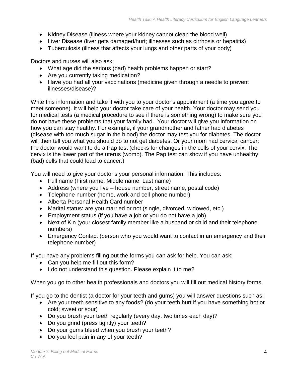- Kidney Disease (illness where your kidney cannot clean the blood well)
- Liver Disease (liver gets damaged/hurt; illnesses such as cirrhosis or hepatitis)
- Tuberculosis (illness that affects your lungs and other parts of your body)

Doctors and nurses will also ask:

- What age did the serious (bad) health problems happen or start?
- Are you currently taking medication?
- Have you had all your vaccinations (medicine given through a needle to prevent illnesses/disease)?

Write this information and take it with you to your doctor's appointment (a time you agree to meet someone). It will help your doctor take care of your health. Your doctor may send you for medical tests (a medical procedure to see if there is something wrong) to make sure you do not have these problems that your family had. Your doctor will give you information on how you can stay healthy. For example, if your grandmother and father had diabetes (disease with too much sugar in the blood) the doctor may test you for diabetes. The doctor will then tell you what you should do to not get diabetes. Or your mom had cervical cancer; the doctor would want to do a Pap test (checks for changes in the cells of your cervix. The cervix is the lower part of the uterus (womb). The Pap test can show if you have unhealthy (bad) cells that could lead to cancer.)

You will need to give your doctor's your personal information. This includes:

- Full name (First name, Middle name, Last name)
- Address (where you live house number, street name, postal code)
- Telephone number (home, work and cell phone number)
- Alberta Personal Health Card number
- Marital status: are you married or not (single, divorced, widowed, etc.)
- Employment status (if you have a job or you do not have a job)
- Next of Kin (your closest family member like a husband or child and their telephone numbers)
- Emergency Contact (person who you would want to contact in an emergency and their telephone number)

If you have any problems filling out the forms you can ask for help. You can ask:

- Can you help me fill out this form?
- I do not understand this question. Please explain it to me?

When you go to other health professionals and doctors you will fill out medical history forms.

If you go to the dentist (a doctor for your teeth and gums) you will answer questions such as:

- Are your teeth sensitive to any foods? (do your teeth hurt if you have something hot or cold; sweet or sour)
- Do you brush your teeth regularly (every day, two times each day)?
- Do you grind (press tightly) your teeth?
- Do your gums bleed when you brush your teeth?
- Do you feel pain in any of your teeth?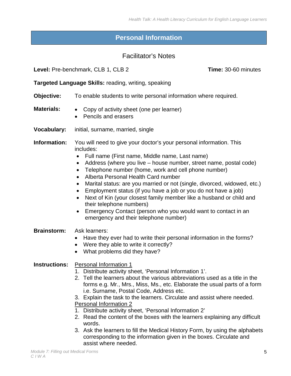### **Personal Information**

#### Facilitator's Notes

<span id="page-6-0"></span>**Level:** Pre-benchmark, CLB 1, CLB 2 **Time:** 30-60 minutes

**Targeted Language Skills:** reading, writing, speaking

- **Objective:** To enable students to write personal information where required.
- 
- **Materials:**  Copy of activity sheet (one per learner)
	- Pencils and erasers
- **Vocabulary:** initial, surname, married, single
- **Information:** You will need to give your doctor's your personal information. This includes:
	- Full name (First name, Middle name, Last name)
	- Address (where you live house number, street name, postal code)
	- Telephone number (home, work and cell phone number)
	- Alberta Personal Health Card number
	- Marital status: are you married or not (single, divorced, widowed, etc.)
	- Employment status (if you have a job or you do not have a job)
	- Next of Kin (your closest family member like a husband or child and their telephone numbers)
	- Emergency Contact (person who you would want to contact in an emergency and their telephone number)
- **Brainstorm:** Ask learners:
	- Have they ever had to write their personal information in the forms?
	- Were they able to write it correctly?
	- What problems did they have?

#### **Instructions:** Personal Information 1

- 1. Distribute activity sheet, 'Personal Information 1'.
- 2. Tell the learners about the various abbreviations used as a title in the forms e.g. Mr., Mrs., Miss, Ms., etc. Elaborate the usual parts of a form i.e. Surname, Postal Code, Address etc.

3. Explain the task to the learners. Circulate and assist where needed.

- Personal Information 2
- 1. Distribute activity sheet, 'Personal Information 2'
- 2. Read the content of the boxes with the learners explaining any difficult words.
- 3. Ask the learners to fill the Medical History Form, by using the alphabets corresponding to the information given in the boxes. Circulate and assist where needed.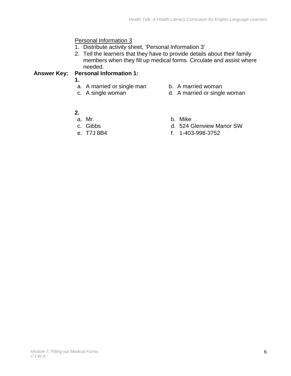#### Personal Information 3

- 1. Distribute activity sheet, 'Personal Information 3'
- 2. Tell the learners that they have to provide details about their family members when they fill up medical forms. Circulate and assist where needed.

#### **Answer Key: Personal Information 1:**

- **1.**
- a. A married or single man b. A married woman
- 
- 
- c. A single woman d. A married or single woman
- 
- **2.** 
	-
- 
- b. Mike
- c. Gibbs d. 524 Glenview Manor SW
- e. T7J 8B4 f. 1-403-998-3752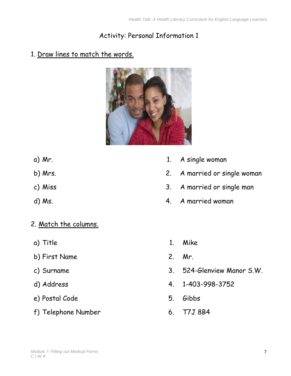## Activity: Personal Information 1

### 1. Draw lines to match the words.



- 
- 
- 
- 
- 2. Match the columns.
- 
- b) First Name 2. Mr.
- 
- 
- e) Postal Code 5. Gibbs
- f) Telephone Number 6. T7J 8B4
- a) Mr. 2012 1. A single woman
- b) Mrs. 2. A married or single woman
- c) Miss 2012 2013 2014 2015 3. A married or single man
- d) Ms.  $\overline{a}$  and  $\overline{a}$  and  $\overline{a}$  and  $\overline{a}$  and  $\overline{a}$  and  $\overline{a}$  and  $\overline{a}$  and  $\overline{a}$  and  $\overline{a}$  and  $\overline{a}$  and  $\overline{a}$  and  $\overline{a}$  and  $\overline{a}$  and  $\overline{a}$  and  $\overline{a}$  and  $\overline{a}$  and  $\overline{a}$
- a) Title 1. Mike
	-
- c) Surname 3. 524-Glenview Manor S.W.
- d) Address 4. 1-403-998-3752
	-
	-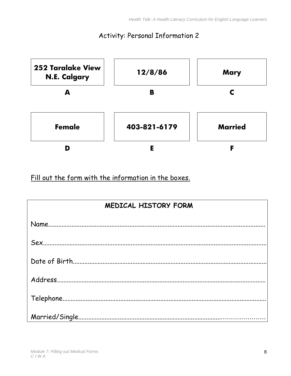### Activity: Personal Information 2



Fill out the form with the information in the boxes.

| <b>MEDICAL HISTORY FORM</b> |
|-----------------------------|
|                             |
|                             |
|                             |
|                             |
|                             |
|                             |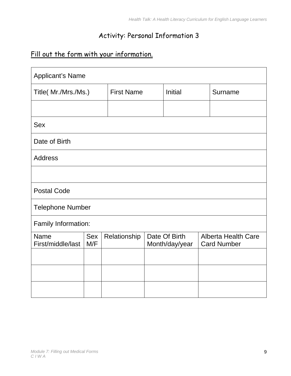### Activity: Personal Information 3

## Fill out the form with your information.

| <b>Applicant's Name</b>          |                   |                   |  |                                 |                                                  |
|----------------------------------|-------------------|-------------------|--|---------------------------------|--------------------------------------------------|
| Title( Mr./Mrs./Ms.)             |                   | <b>First Name</b> |  | <b>Initial</b>                  | Surname                                          |
|                                  |                   |                   |  |                                 |                                                  |
| <b>Sex</b>                       |                   |                   |  |                                 |                                                  |
| Date of Birth                    |                   |                   |  |                                 |                                                  |
| <b>Address</b>                   |                   |                   |  |                                 |                                                  |
|                                  |                   |                   |  |                                 |                                                  |
| <b>Postal Code</b>               |                   |                   |  |                                 |                                                  |
| <b>Telephone Number</b>          |                   |                   |  |                                 |                                                  |
| Family Information:              |                   |                   |  |                                 |                                                  |
| <b>Name</b><br>First/middle/last | <b>Sex</b><br>M/F | Relationship      |  | Date Of Birth<br>Month/day/year | <b>Alberta Health Care</b><br><b>Card Number</b> |
|                                  |                   |                   |  |                                 |                                                  |
|                                  |                   |                   |  |                                 |                                                  |
|                                  |                   |                   |  |                                 |                                                  |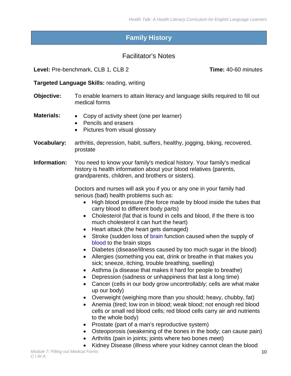### **Family History**

#### Facilitator's Notes

<span id="page-11-0"></span>**Level:** Pre-benchmark, CLB 1, CLB 2 **Time:** 40-60 minutes

#### **Targeted Language Skills:** reading, writing

- **Objective:** To enable learners to attain literacy and language skills required to fill out medical forms
- **Materials:**  Copy of activity sheet (one per learner)
	- Pencils and erasers
	- Pictures from visual glossary
- **Vocabulary:** arthritis, depression, habit, suffers, healthy, jogging, biking, recovered, prostate

**Information:** You need to know your family's medical history. Your family's medical history is health information about your blood relatives (parents, grandparents, children, and brothers or sisters).

> Doctors and nurses will ask you if you or any one in your family had serious (bad) health problems such as:

- High blood pressure (the force made by blood inside the tubes that carry blood to different body parts)
- Cholesterol (fat that is found in cells and blood, if the there is too much cholesterol it can hurt the heart)
- Heart attack (the heart gets damaged)
- Stroke (sudden loss of [brain](http://dictionary.reference.com/browse/brain) function caused when the supply of [blood](http://dictionary.reference.com/browse/blood) to the brain stops
- Diabetes (disease/illness caused by too much sugar in the blood)
- Allergies (something you eat, drink or breathe in that makes you sick; sneeze, itching, trouble breathing, swelling)
- Asthma (a disease that makes it hard for people to breathe)
- Depression (sadness or unhappiness that last a long time)
- Cancer (cells in our body grow uncontrollably; cells are what make up our body)
- Overweight (weighing more than you should; heavy, chubby, fat)
- Anemia (tired; low iron in blood; weak blood; not enough red blood cells or small red blood cells; red blood cells carry air and nutrients to the whole body)
- Prostate (part of a man's reproductive system)
- Osteoporosis (weakening of the bones in the body; can cause pain)
- Arthritis (pain in joints; joints where two bones meet)
- Kidney Disease (illness where your kidney cannot clean the blood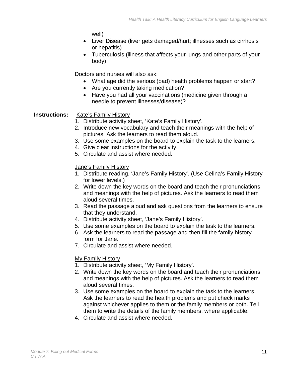well)

- Liver Disease (liver gets damaged/hurt; illnesses such as cirrhosis or hepatitis)
- Tuberculosis (illness that affects your lungs and other parts of your body)

Doctors and nurses will also ask:

- What age did the serious (bad) health problems happen or start?
- Are you currently taking medication?
- Have you had all your vaccinations (medicine given through a needle to prevent illnesses/disease)?

#### **Instructions:** Kate's Family History

- 1. Distribute activity sheet, 'Kate's Family History'.
- 2. Introduce new vocabulary and teach their meanings with the help of pictures. Ask the learners to read them aloud.
- 3. Use some examples on the board to explain the task to the learners.
- 4. Give clear instructions for the activity.
- 5. Circulate and assist where needed.

#### Jane's Family History

- 1. Distribute reading, 'Jane's Family History'. (Use Celina's Family History for lower levels.)
- 2. Write down the key words on the board and teach their pronunciations and meanings with the help of pictures. Ask the learners to read them aloud several times.
- 3. Read the passage aloud and ask questions from the learners to ensure that they understand.
- 4. Distribute activity sheet, 'Jane's Family History'.
- 5. Use some examples on the board to explain the task to the learners.
- 6. Ask the learners to read the passage and then fill the family history form for Jane.
- 7. Circulate and assist where needed.

#### My Family History

- 1. Distribute activity sheet, 'My Family History'.
- 2. Write down the key words on the board and teach their pronunciations and meanings with the help of pictures. Ask the learners to read them aloud several times.
- 3. Use some examples on the board to explain the task to the learners. Ask the learners to read the health problems and put check marks against whichever applies to them or the family members or both. Tell them to write the details of the family members, where applicable.
- 4. Circulate and assist where needed.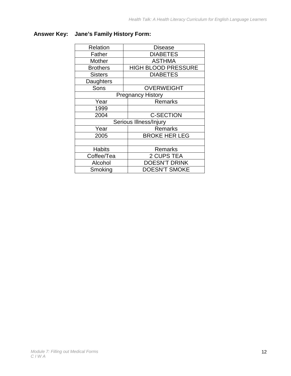#### **Answer Key: Jane's Family History Form:**

| Relation        | <b>Disease</b>             |
|-----------------|----------------------------|
| Father          | <b>DIABETES</b>            |
| <b>Mother</b>   | <b>ASTHMA</b>              |
| <b>Brothers</b> | <b>HIGH BLOOD PRESSURE</b> |
| <b>Sisters</b>  | <b>DIABETES</b>            |
| Daughters       |                            |
| Sons            | <b>OVERWEIGHT</b>          |
|                 | <b>Pregnancy History</b>   |
| Year            | <b>Remarks</b>             |
| 1999            |                            |
| 2004            | <b>C-SECTION</b>           |
|                 | Serious Illness/Injury     |
| Year            | <b>Remarks</b>             |
| 2005            | <b>BROKE HER LEG</b>       |
|                 |                            |
| <b>Habits</b>   | Remarks                    |
| Coffee/Tea      | 2 CUPS TEA                 |
| Alcohol         | <b>DOESN'T DRINK</b>       |
| Smoking         | <b>DOESN'T SMOKE</b>       |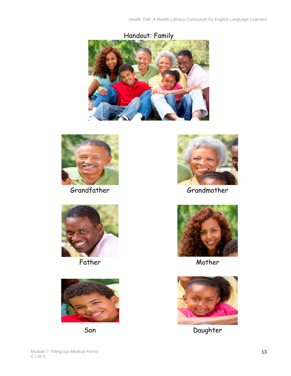



Grandfather Grandmother









Father Mother Mother



Son Daughter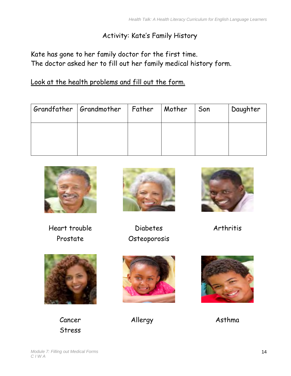### Activity: Kate's Family History

Kate has gone to her family doctor for the first time. The doctor asked her to fill out her family medical history form.

Look at the health problems and fill out the form.

| Grandfather Grandmother   Father | $\vert$ Mother | Son | Daughter |
|----------------------------------|----------------|-----|----------|
|                                  |                |     |          |
|                                  |                |     |          |



Heart trouble Diabetes Arthritis



Prostate Osteoporosis





Cancer Allergy Asthma Stress



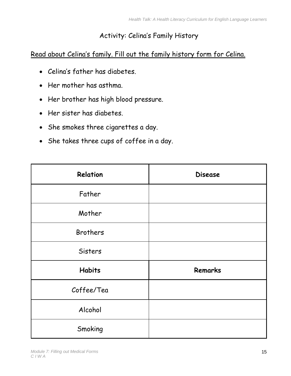### Activity: Celina's Family History

### Read about Celina's family. Fill out the family history form for Celina.

- Celina's father has diabetes.
- Her mother has asthma.
- Her brother has high blood pressure.
- Her sister has diabetes.
- She smokes three cigarettes a day.
- She takes three cups of coffee in a day.

| Relation        | <b>Disease</b> |
|-----------------|----------------|
| Father          |                |
| Mother          |                |
| <b>Brothers</b> |                |
| <b>Sisters</b>  |                |
| <b>Habits</b>   | Remarks        |
| Coffee/Tea      |                |
| Alcohol         |                |
| Smoking         |                |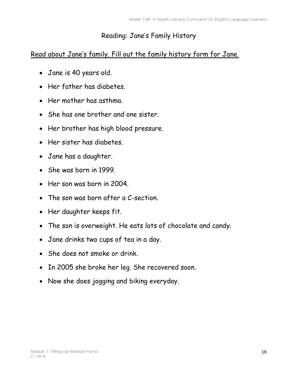### Reading: Jane's Family History

### Read about Jane's family. Fill out the family history form for Jane.

- Jane is 40 years old.
- Her father has diabetes.
- Her mother has asthma.
- She has one brother and one sister.
- Her brother has high blood pressure.
- Her sister has diabetes.
- Jane has a daughter.
- She was born in 1999.
- Her son was born in 2004.
- The son was born after a C-section.
- Her daughter keeps fit.
- The son is overweight. He eats lots of chocolate and candy.
- Jane drinks two cups of tea in a day.
- She does not smoke or drink.
- In 2005 she broke her leg. She recovered soon.
- Now she does jogging and biking everyday.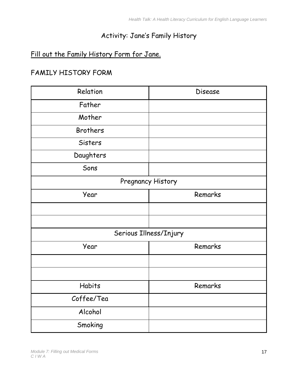### Activity: Jane's Family History

### Fill out the Family History Form for Jane.

### FAMILY HISTORY FORM

| Relation        | <b>Disease</b>         |
|-----------------|------------------------|
| Father          |                        |
| Mother          |                        |
| <b>Brothers</b> |                        |
| Sisters         |                        |
| Daughters       |                        |
| Sons            |                        |
|                 | Pregnancy History      |
| Year            | Remarks                |
|                 |                        |
|                 |                        |
|                 | Serious Illness/Injury |
| Year            | Remarks                |
|                 |                        |
|                 |                        |
| <b>Habits</b>   | Remarks                |
| Coffee/Tea      |                        |
| Alcohol         |                        |
| Smoking         |                        |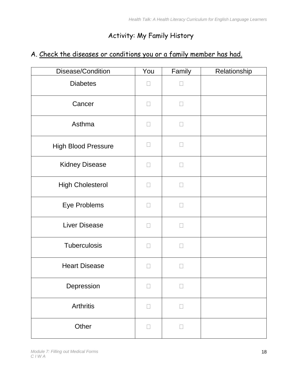## Activity: My Family History

### A. Check the diseases or conditions you or a family member has had.

| Disease/Condition          | You                      | Family | Relationship |
|----------------------------|--------------------------|--------|--------------|
| <b>Diabetes</b>            |                          |        |              |
| Cancer                     | $\overline{\phantom{0}}$ | $\Box$ |              |
| Asthma                     | $\overline{\phantom{0}}$ | $\Box$ |              |
| <b>High Blood Pressure</b> | $\Box$                   | $\Box$ |              |
| <b>Kidney Disease</b>      | $\Box$                   | $\Box$ |              |
| <b>High Cholesterol</b>    |                          | $\Box$ |              |
| Eye Problems               | ×                        | П      |              |
| <b>Liver Disease</b>       |                          | П      |              |
| <b>Tuberculosis</b>        |                          | П      |              |
| <b>Heart Disease</b>       |                          | П      |              |
| Depression                 |                          | П      |              |
| <b>Arthritis</b>           | $\Box$                   | $\Box$ |              |
| Other                      | $\Box$                   | $\Box$ |              |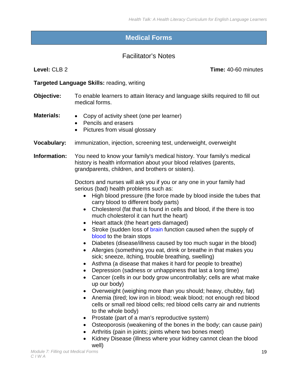### **Medical Forms**

#### Facilitator's Notes

<span id="page-20-0"></span>

**Level:** CLB 2 **Time:** 40-60 minutes

#### **Targeted Language Skills:** reading, writing

- **Objective:** To enable learners to attain literacy and language skills required to fill out medical forms.
- **Materials:**  Copy of activity sheet (one per learner)
	- Pencils and erasers
	- Pictures from visual glossary
- **Vocabulary:** immunization, injection, screening test, underweight, overweight

**Information:** You need to know your family's medical history. Your family's medical history is health information about your blood relatives (parents, grandparents, children, and brothers or sisters).

> Doctors and nurses will ask you if you or any one in your family had serious (bad) health problems such as:

- High blood pressure (the force made by blood inside the tubes that carry blood to different body parts)
- Cholesterol (fat that is found in cells and blood, if the there is too much cholesterol it can hurt the heart)
- Heart attack (the heart gets damaged)
- Stroke (sudden loss of [brain](http://dictionary.reference.com/browse/brain) function caused when the supply of [blood](http://dictionary.reference.com/browse/blood) to the brain stops
- Diabetes (disease/illness caused by too much sugar in the blood)
- Allergies (something you eat, drink or breathe in that makes you sick; sneeze, itching, trouble breathing, swelling)
- Asthma (a disease that makes it hard for people to breathe)
- Depression (sadness or unhappiness that last a long time)
- Cancer (cells in our body grow uncontrollably; cells are what make up our body)
- Overweight (weighing more than you should; heavy, chubby, fat)
- Anemia (tired; low iron in blood; weak blood; not enough red blood cells or small red blood cells; red blood cells carry air and nutrients to the whole body)
- Prostate (part of a man's reproductive system)
- Osteoporosis (weakening of the bones in the body; can cause pain)
- Arthritis (pain in joints; joints where two bones meet)
- Kidney Disease (illness where your kidney cannot clean the blood well)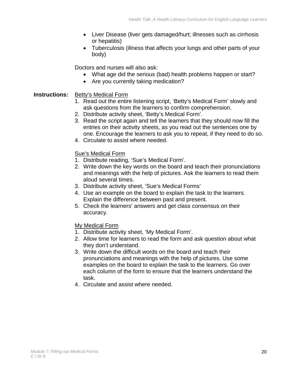- Liver Disease (liver gets damaged/hurt; illnesses such as cirrhosis or hepatitis)
- Tuberculosis (illness that affects your lungs and other parts of your body)

Doctors and nurses will also ask:

- What age did the serious (bad) health problems happen or start?
- Are you currently taking medication?

#### **Instructions:** Betty's Medical Form

- 1. Read out the entire listening script, 'Betty's Medical Form' slowly and ask questions from the learners to confirm comprehension.
- 2. Distribute activity sheet, 'Betty's Medical Form'.
- 3. Read the script again and tell the learners that they should now fill the entries on their activity sheets, as you read out the sentences one by one. Encourage the learners to ask you to repeat, if they need to do so.
- 4. Circulate to assist where needed.

#### Sue's Medical Form

- 1. Distribute reading, 'Sue's Medical Form'.
- 2. Write down the key words on the board and teach their pronunciations and meanings with the help of pictures. Ask the learners to read them aloud several times.
- 3. Distribute activity sheet, 'Sue's Medical Forms'
- 4. Use an example on the board to explain the task to the learners. Explain the difference between past and present.
- 5. Check the learners' answers and get class consensus on their accuracy.

#### My Medical Form

- 1. Distribute activity sheet, 'My Medical Form'.
- 2. Allow time for learners to read the form and ask question about what they don't understand.
- 3. Write down the difficult words on the board and teach their pronunciations and meanings with the help of pictures. Use some examples on the board to explain the task to the learners. Go over each column of the form to ensure that the learners understand the task.
- 4. Circulate and assist where needed.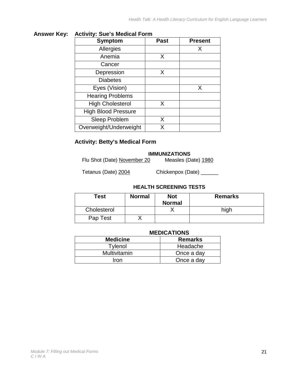#### **Answer Key: Activity: Sue's Medical Form**

| <b>Symptom</b>             | <b>Past</b> | <b>Present</b> |
|----------------------------|-------------|----------------|
| Allergies                  |             | X              |
| Anemia                     | X           |                |
| Cancer                     |             |                |
| Depression                 | X           |                |
| <b>Diabetes</b>            |             |                |
| Eyes (Vision)              |             | X              |
| <b>Hearing Problems</b>    |             |                |
| <b>High Cholesterol</b>    | X           |                |
| <b>High Blood Pressure</b> |             |                |
| <b>Sleep Problem</b>       | X           |                |
| Overweight/Underweight     | x           |                |

#### **Activity: Betty's Medical Form**

# **IMMUNIZATIONS**<br>0 Measles (Date) 1980

Flu Shot (Date) November 20

Tetanus (Date) 2004 Chickenpox (Date) \_\_\_\_\_\_

#### **HEALTH SCREENING TESTS**

| Test        | <b>Normal</b> | <b>Not</b><br><b>Normal</b> | <b>Remarks</b> |
|-------------|---------------|-----------------------------|----------------|
| Cholesterol |               |                             | high           |
| Pap Test    |               |                             |                |

#### **MEDICATIONS**

| <b>Medicine</b> | <b>Remarks</b> |
|-----------------|----------------|
| Tvlenol         | Headache       |
| Multivitamin    | Once a day     |
| Iron            | Once a day     |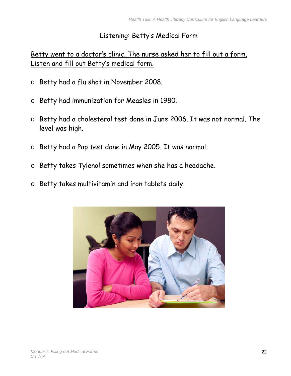### Listening: Betty's Medical Form

### Betty went to a doctor's clinic. The nurse asked her to fill out a form. Listen and fill out Betty's medical form.

- o Betty had a flu shot in November 2008.
- o Betty had immunization for Measles in 1980.
- o Betty had a cholesterol test done in June 2006. It was not normal. The level was high.
- o Betty had a Pap test done in May 2005. It was normal.
- o Betty takes Tylenol sometimes when she has a headache.
- o Betty takes multivitamin and iron tablets daily.

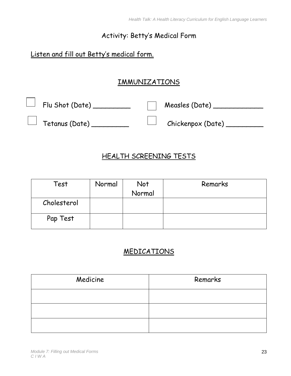### Activity: Betty's Medical Form

### Listen and fill out Betty's medical form.

### IMMUNIZATIONS

| $\hspace{0.15cm}\rule{0.1cm}{0.1cm}\hspace{0.1cm}$ $\hspace{0.15cm}\rule{0.1cm}{0.1cm}\hspace{0.1cm}$ $\hspace{0.15cm}\hspace{0.15cm}$ $\hspace{0.15cm}\hspace{0.15cm}\hspace{0.15cm}$ $\hspace{0.15cm}\hspace{0.15cm}\hspace{0.15cm}\hspace{0.15cm}\hspace{0.15cm}\hspace{0.15cm}\hspace{0.15cm}\hspace{0.15cm}\hspace{0.15cm}\hspace{0.15cm}\hspace{0.15cm}\hs$ |                          |
|-------------------------------------------------------------------------------------------------------------------------------------------------------------------------------------------------------------------------------------------------------------------------------------------------------------------------------------------------------------------|--------------------------|
| $\hspace{1em}\rule{0.7pt}{1.1em}\hspace{1em}\hspace{1em}$ Tetanus (Date)                                                                                                                                                                                                                                                                                          | $\Box$ Chickenpox (Date) |

### HEALTH SCREENING TESTS

| Test        | Normal | Not    | Remarks |
|-------------|--------|--------|---------|
|             |        | Normal |         |
| Cholesterol |        |        |         |
| Pap Test    |        |        |         |

### MEDICATIONS

| Medicine | Remarks |
|----------|---------|
|          |         |
|          |         |
|          |         |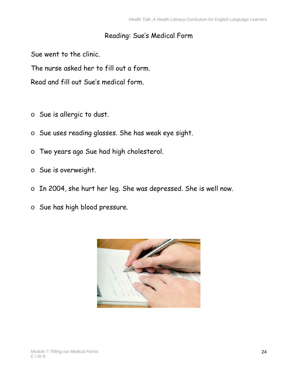### Reading: Sue's Medical Form

Sue went to the clinic.

The nurse asked her to fill out a form.

Read and fill out Sue's medical form.

- o Sue is allergic to dust.
- o Sue uses reading glasses. She has weak eye sight.
- o Two years ago Sue had high cholesterol.
- o Sue is overweight.
- o In 2004, she hurt her leg. She was depressed. She is well now.
- o Sue has high blood pressure.

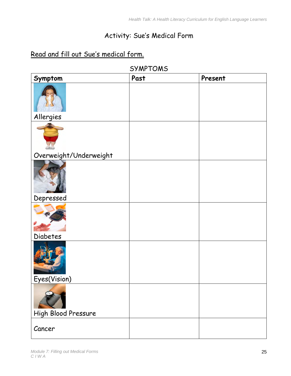## Activity: Sue's Medical Form

### Read and fill out Sue's medical form.

| Symptom                | Past | Present |
|------------------------|------|---------|
|                        |      |         |
| Allergies              |      |         |
|                        |      |         |
| Overweight/Underweight |      |         |
| Depressed              |      |         |
|                        |      |         |
|                        |      |         |
| <b>Diabetes</b>        |      |         |
| Eyes(Vision)           |      |         |
| High Blood Pressure    |      |         |
|                        |      |         |
| Cancer                 |      |         |

SYMPTOMS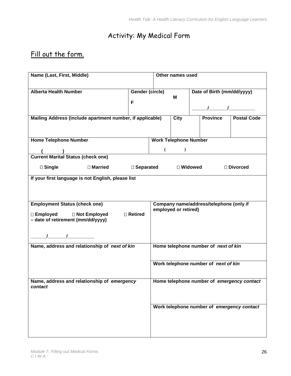## Activity: My Medical Form

### Fill out the form.

| Name (Last, First, Middle)                                |                 | Other names used                                                |                                      |  |                                            |                                            |
|-----------------------------------------------------------|-----------------|-----------------------------------------------------------------|--------------------------------------|--|--------------------------------------------|--------------------------------------------|
|                                                           |                 |                                                                 |                                      |  |                                            |                                            |
| <b>Alberta Health Number</b>                              | Gender (circle) |                                                                 |                                      |  | Date of Birth (mm/dd/yyyy)                 |                                            |
|                                                           |                 |                                                                 | М                                    |  |                                            |                                            |
|                                                           | F               |                                                                 |                                      |  |                                            |                                            |
|                                                           |                 |                                                                 |                                      |  |                                            |                                            |
| Mailing Address (include apartment number, if applicable) |                 |                                                                 | City                                 |  | <b>Province</b>                            | <b>Postal Code</b>                         |
|                                                           |                 |                                                                 |                                      |  |                                            |                                            |
|                                                           |                 |                                                                 |                                      |  |                                            |                                            |
| <b>Home Telephone Number</b>                              |                 | <b>Work Telephone Number</b>                                    |                                      |  |                                            |                                            |
|                                                           |                 | $\overline{ }$                                                  | $\mathcal{L}$                        |  |                                            |                                            |
| (Current Marital Status (check one)                       |                 |                                                                 |                                      |  |                                            |                                            |
| □ Married                                                 |                 |                                                                 | □ Widowed                            |  |                                            | □ Divorced                                 |
| $\square$ Single                                          | □ Separated     |                                                                 |                                      |  |                                            |                                            |
| If your first language is not English, please list        |                 |                                                                 |                                      |  |                                            |                                            |
|                                                           |                 |                                                                 |                                      |  |                                            |                                            |
|                                                           |                 |                                                                 |                                      |  |                                            |                                            |
|                                                           |                 |                                                                 |                                      |  |                                            |                                            |
| <b>Employment Status (check one)</b>                      |                 | Company name/address/telephone (only if<br>employed or retired) |                                      |  |                                            |                                            |
| □ Employed<br>□ Not Employed                              | □ Retired       |                                                                 |                                      |  |                                            |                                            |
| - date of retirement (mm/dd/yyyy)                         |                 |                                                                 |                                      |  |                                            |                                            |
|                                                           |                 |                                                                 |                                      |  |                                            |                                            |
|                                                           |                 |                                                                 |                                      |  |                                            |                                            |
|                                                           |                 |                                                                 |                                      |  |                                            |                                            |
| Name, address and relationship of next of kin             |                 |                                                                 | Home telephone number of next of kin |  |                                            |                                            |
|                                                           |                 |                                                                 |                                      |  |                                            |                                            |
|                                                           |                 |                                                                 | Work telephone number of next of kin |  |                                            |                                            |
|                                                           |                 |                                                                 |                                      |  |                                            |                                            |
| Name, address and relationship of emergency               |                 |                                                                 |                                      |  |                                            | Home telephone number of emergency contact |
| contact                                                   |                 |                                                                 |                                      |  |                                            |                                            |
|                                                           |                 |                                                                 |                                      |  |                                            |                                            |
|                                                           |                 |                                                                 |                                      |  |                                            |                                            |
|                                                           |                 |                                                                 |                                      |  | Work telephone number of emergency contact |                                            |
|                                                           |                 |                                                                 |                                      |  |                                            |                                            |
|                                                           |                 |                                                                 |                                      |  |                                            |                                            |
|                                                           |                 |                                                                 |                                      |  |                                            |                                            |
|                                                           |                 |                                                                 |                                      |  |                                            |                                            |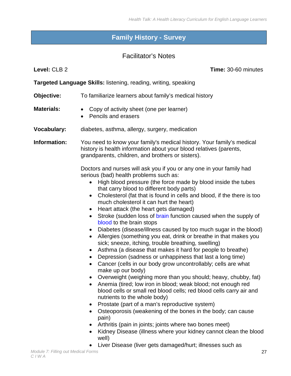### <span id="page-28-0"></span>**Family History - Survey**

#### Facilitator's Notes

**Level:** CLB 2 **Time:** 30-60 minutes

**Targeted Language Skills:** listening, reading, writing, speaking

- **Objective:** To familiarize learners about family's medical history
- **Materials:** Copy of activity sheet (one per learner)
	- Pencils and erasers
- **Vocabulary:** diabetes, asthma, allergy, surgery, medication

**Information:** You need to know your family's medical history. Your family's medical history is health information about your blood relatives (parents, grandparents, children, and brothers or sisters).

> Doctors and nurses will ask you if you or any one in your family had serious (bad) health problems such as:

- High blood pressure (the force made by blood inside the tubes that carry blood to different body parts)
- Cholesterol (fat that is found in cells and blood, if the there is too much cholesterol it can hurt the heart)
- Heart attack (the heart gets damaged)
- Stroke (sudden loss of [brain](http://dictionary.reference.com/browse/brain) function caused when the supply of [blood](http://dictionary.reference.com/browse/blood) to the brain stops
- Diabetes (disease/illness caused by too much sugar in the blood)
- Allergies (something you eat, drink or breathe in that makes you sick; sneeze, itching, trouble breathing, swelling)
- Asthma (a disease that makes it hard for people to breathe)
- Depression (sadness or unhappiness that last a long time)
- Cancer (cells in our body grow uncontrollably; cells are what make up our body)
- Overweight (weighing more than you should; heavy, chubby, fat)
- Anemia (tired; low iron in blood; weak blood; not enough red blood cells or small red blood cells; red blood cells carry air and nutrients to the whole body)
- Prostate (part of a man's reproductive system)
- Osteoporosis (weakening of the bones in the body; can cause pain)
- Arthritis (pain in joints; joints where two bones meet)
- Kidney Disease (illness where your kidney cannot clean the blood well)
- Liver Disease (liver gets damaged/hurt; illnesses such as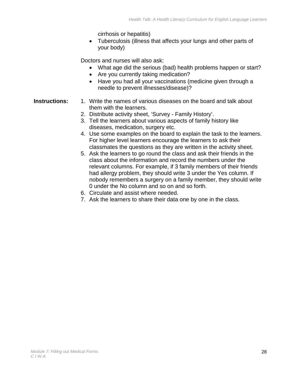cirrhosis or hepatitis)

• Tuberculosis (illness that affects your lungs and other parts of your body)

Doctors and nurses will also ask:

- What age did the serious (bad) health problems happen or start?
- Are you currently taking medication?
- Have you had all your vaccinations (medicine given through a needle to prevent illnesses/disease)?
- **Instructions:** 1. Write the names of various diseases on the board and talk about them with the learners.
	- 2. Distribute activity sheet, 'Survey Family History'.
	- 3. Tell the learners about various aspects of family history like diseases, medication, surgery etc.
	- 4. Use some examples on the board to explain the task to the learners. For higher level learners encourage the learners to ask their classmates the questions as they are written in the activity sheet.
	- 5. Ask the learners to go round the class and ask their friends in the class about the information and record the numbers under the relevant columns. For example, if 3 family members of their friends had allergy problem, they should write 3 under the Yes column. If nobody remembers a surgery on a family member, they should write 0 under the No column and so on and so forth.
	- 6. Circulate and assist where needed.
	- 7. Ask the learners to share their data one by one in the class.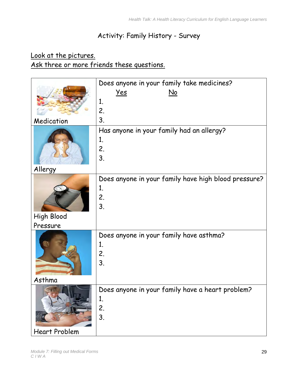### Activity: Family History - Survey

### Look at the pictures. Ask three or more friends these questions.

|                      | Does anyone in your family take medicines?           |
|----------------------|------------------------------------------------------|
|                      | <u>Yes</u><br>$\underline{\mathsf{No}}$              |
|                      | 1.                                                   |
|                      | 2.                                                   |
| Medication           | 3.                                                   |
|                      | Has anyone in your family had an allergy?            |
|                      | 1.                                                   |
|                      | 2.                                                   |
|                      | 3.                                                   |
| Allergy              |                                                      |
|                      | Does anyone in your family have high blood pressure? |
|                      | 1.                                                   |
|                      | 2.                                                   |
|                      | 3.                                                   |
| <b>High Blood</b>    |                                                      |
| Pressure             |                                                      |
|                      | Does anyone in your family have asthma?              |
|                      | 1.                                                   |
|                      | 2.                                                   |
|                      | 3.                                                   |
|                      |                                                      |
| Asthma               |                                                      |
|                      | Does anyone in your family have a heart problem?     |
|                      | 1.                                                   |
|                      | 2.                                                   |
|                      | 3.                                                   |
| <b>Heart Problem</b> |                                                      |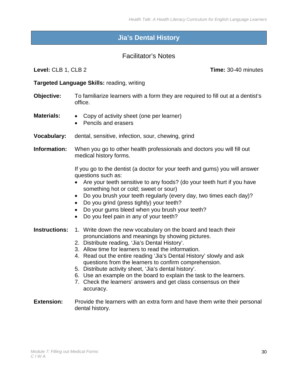### **Jia's Dental History**

#### Facilitator's Notes

<span id="page-31-0"></span>**Level:** CLB 1, CLB 2 **Time:** 30-40 minutes

#### **Targeted Language Skills:** reading, writing

- **Objective:** To familiarize learners with a form they are required to fill out at a dentist's office.
- **Materials:**  Copy of activity sheet (one per learner)
	- Pencils and erasers
- **Vocabulary:** dental, sensitive, infection, sour, chewing, grind
- **Information:** When you go to other health professionals and doctors you will fill out medical history forms.

If you go to the dentist (a doctor for your teeth and gums) you will answer questions such as:

- Are your teeth sensitive to any foods? (do your teeth hurt if you have something hot or cold; sweet or sour)
- Do you brush your teeth regularly (every day, two times each day)?
- Do you grind (press tightly) your teeth?
- Do your gums bleed when you brush your teeth?
- Do you feel pain in any of your teeth?
- **Instructions:** 1. Write down the new vocabulary on the board and teach their pronunciations and meanings by showing pictures.
	- 2. Distribute reading, 'Jia's Dental History'.
	- 3. Allow time for learners to read the information.
	- 4. Read out the entire reading 'Jia's Dental History' slowly and ask questions from the learners to confirm comprehension.
	- 5. Distribute activity sheet, 'Jia's dental history'.
	- 6. Use an example on the board to explain the task to the learners.
	- 7. Check the learners' answers and get class consensus on their accuracy.
- **Extension:** Provide the learners with an extra form and have them write their personal dental history.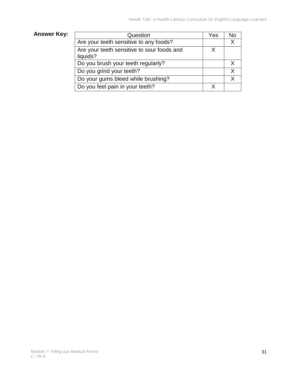### **Answer Key:**

| Question                                               | Yes | No |
|--------------------------------------------------------|-----|----|
| Are your teeth sensitive to any foods?                 |     | X  |
| Are your teeth sensitive to sour foods and<br>liquids? | X   |    |
| Do you brush your teeth regularly?                     |     |    |
| Do you grind your teeth?                               |     | X  |
| Do your gums bleed while brushing?                     |     | X  |
| Do you feel pain in your teeth?                        |     |    |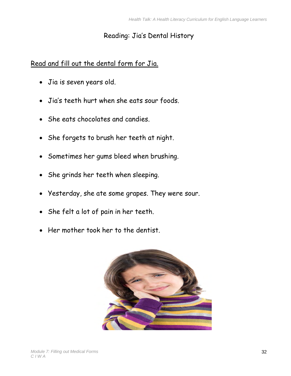### Reading: Jia's Dental History

### Read and fill out the dental form for Jia.

- Jia is seven years old.
- Jia's teeth hurt when she eats sour foods.
- She eats chocolates and candies.
- She forgets to brush her teeth at night.
- Sometimes her gums bleed when brushing.
- She grinds her teeth when sleeping.
- Yesterday, she ate some grapes. They were sour.
- She felt a lot of pain in her teeth.
- Her mother took her to the dentist.